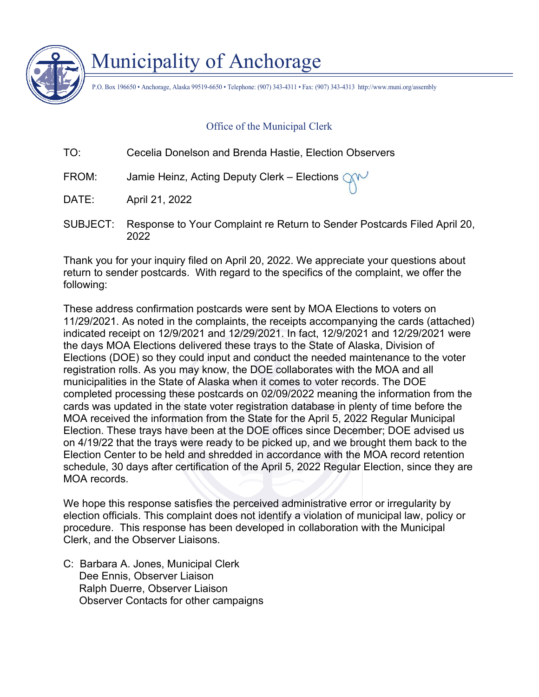

# Municipality of Anchorage

P.O. Box 196650 • Anchorage, Alaska 99519-6650 • Telephone: (907) 343-4311 • Fax: (907) 343-4313 http://www.muni.org/assembly

#### Office of the Municipal Clerk

| TO:   | Cecelia Donelson and Brenda Hastie, Election Observers                                          |
|-------|-------------------------------------------------------------------------------------------------|
| FROM: | Jamie Heinz, Acting Deputy Clerk – Elections $\bigcirc\!\!\!\bigcirc\!\!\!\bigwedge\!\!\!\vee'$ |
| DATE: | April 21, 2022                                                                                  |

SUBJECT: Response to Your Complaint re Return to Sender Postcards Filed April 20, 2022

Thank you for your inquiry filed on April 20, 2022. We appreciate your questions about return to sender postcards. With regard to the specifics of the complaint, we offer the following:

These address confirmation postcards were sent by MOA Elections to voters on 11/29/2021. As noted in the complaints, the receipts accompanying the cards (attached) indicated receipt on 12/9/2021 and 12/29/2021. In fact, 12/9/2021 and 12/29/2021 were the days MOA Elections delivered these trays to the State of Alaska, Division of Elections (DOE) so they could input and conduct the needed maintenance to the voter registration rolls. As you may know, the DOE collaborates with the MOA and all municipalities in the State of Alaska when it comes to voter records. The DOE completed processing these postcards on 02/09/2022 meaning the information from the cards was updated in the state voter registration database in plenty of time before the MOA received the information from the State for the April 5, 2022 Regular Municipal Election. These trays have been at the DOE offices since December; DOE advised us on 4/19/22 that the trays were ready to be picked up, and we brought them back to the Election Center to be held and shredded in accordance with the MOA record retention schedule, 30 days after certification of the April 5, 2022 Regular Election, since they are MOA records

We hope this response satisfies the perceived administrative error or irregularity by election officials. This complaint does not identify a violation of municipal law, policy or procedure. This response has been developed in collaboration with the Municipal Clerk, and the Observer Liaisons.

C: Barbara A. Jones, Municipal Clerk Dee Ennis, Observer Liaison Ralph Duerre, Observer Liaison Observer Contacts for other campaigns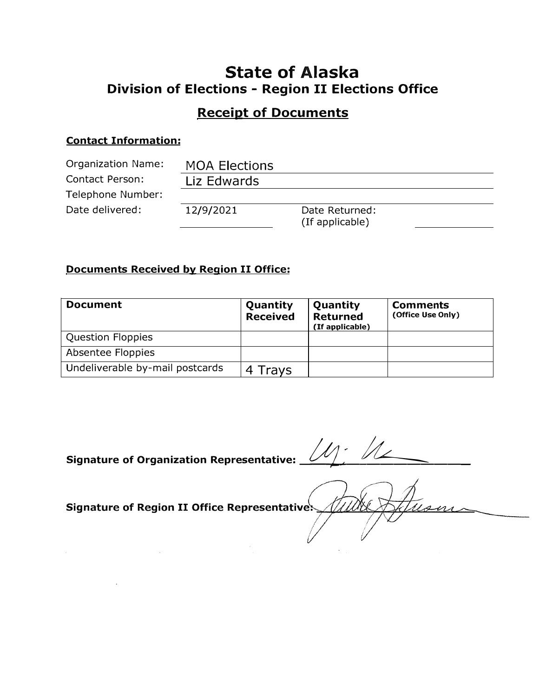### **State of Alaska Division of Elections - Region II Elections Office**

### **Receipt of Documents**

#### **Contact Information:**

| <b>Organization Name:</b> | <b>MOA Elections</b> |                                   |  |
|---------------------------|----------------------|-----------------------------------|--|
| Contact Person:           | Liz Edwards          |                                   |  |
| Telephone Number:         |                      |                                   |  |
| Date delivered:           | 12/9/2021            | Date Returned:<br>(If applicable) |  |

### **Documents Received by Region II Office:**

| <b>Document</b>                 | Quantity<br><b>Received</b> | Quantity<br><b>Returned</b><br>(If applicable) | <b>Comments</b><br>(Office Use Only) |
|---------------------------------|-----------------------------|------------------------------------------------|--------------------------------------|
| <b>Question Floppies</b>        |                             |                                                |                                      |
| Absentee Floppies               |                             |                                                |                                      |
| Undeliverable by-mail postcards | Travs                       |                                                |                                      |

**Signature of Organization Representative: \_** 

Signature of Region II Office Representatives

 $\mathbb{R}^2$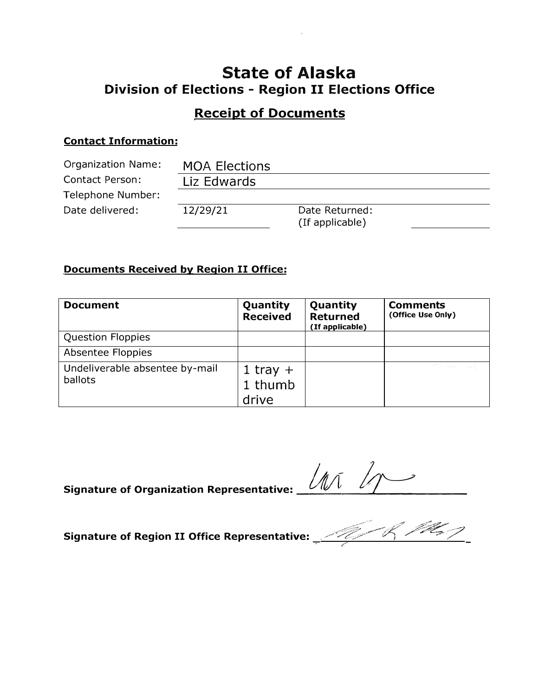### **State of Alaska Division of Elections - Region II Elections Office**

### **Receipt of Documents**

#### **Contact Information:**

| <b>Organization Name:</b> | <b>MOA Elections</b> |                                   |  |
|---------------------------|----------------------|-----------------------------------|--|
| <b>Contact Person:</b>    | Liz Edwards          |                                   |  |
| Telephone Number:         |                      |                                   |  |
| Date delivered:           | 12/29/21             | Date Returned:<br>(If applicable) |  |

### **Documents Received by Region II Office:**

| <b>Document</b>                           | Quantity<br><b>Received</b>    | Quantity<br><b>Returned</b><br>(If applicable) | <b>Comments</b><br>(Office Use Only) |
|-------------------------------------------|--------------------------------|------------------------------------------------|--------------------------------------|
| <b>Question Floppies</b>                  |                                |                                                |                                      |
| Absentee Floppies                         |                                |                                                |                                      |
| Undeliverable absentee by-mail<br>ballots | 1 tray $+$<br>1 thumb<br>drive |                                                | 计算机系统 人名英贝                           |

**Signature of Organization Representative: \_\_** *IA\_[/L \_\_-\_\_ )\_/ ..... �-------*

**Signature of Region II Office Representative:** . ,,.,,.,;:;ff�;::,:-;;,t/"/ */'�:Jit!;:? :;? IC'".*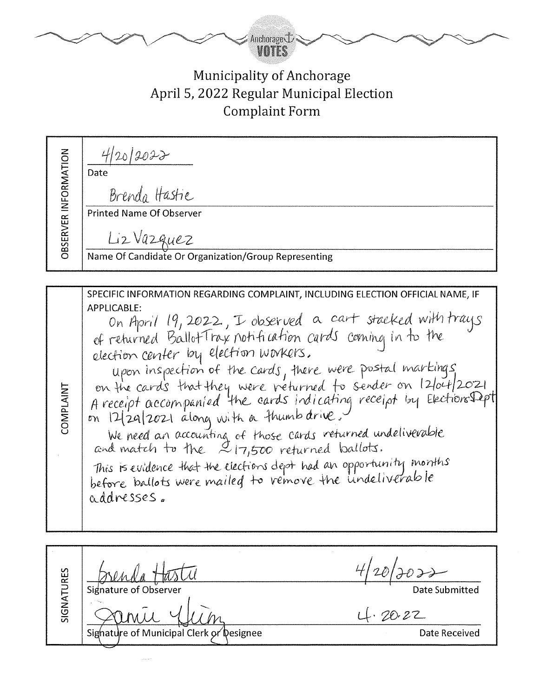

## Municipality of Anchorage April 5, 2022 Regular Municipal Election Complaint Form

 $420/2022$ **OBSERVER INFORMATION** Date Brenda Hastie **Printed Name Of Observer** Liz Vazquez Name Of Candidate Or Organization/Group Representing SPECIFIC INFORMATION REGARDING COMPLAINT, INCLUDING ELECTION OFFICIAL NAME, IF APPLICABLE: On April 19, 2022, I observed a cart stacked with trays of returned Ballot Trax notification cards coming in to the election center by election workers. upon inspection of the cards, there were postal markings on the cards that they were returned to sender on 12/04/2021<br>A receipt accompanied the cards indicating receipt by ElectionsDept **COMPLAINT** on 12/29/2021 along with a thumb drive. We need an accounting of those cards returned undeliverable<br>and match to the 217,500 returned ballots. This is evidence that the elections dept had an opportunity months before ballots were mailed to vemove the undeliverable addresses. SIGNATURES

Date Submitted

 $4.20.22$ 

Signature of Municipal Clerk or Designee

Signature of Observer

Date Received